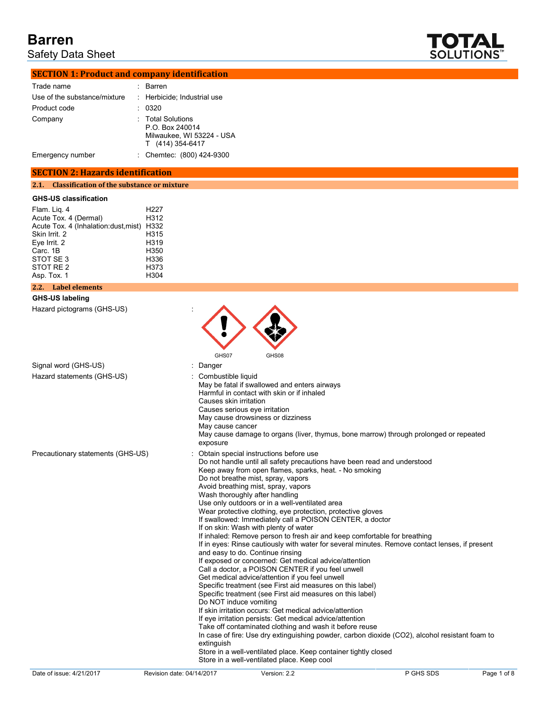Safety Data Sheet



## **SECTION 1: Product and company identification**

| Trade name                   | ٠ | Barren                                                                                |
|------------------------------|---|---------------------------------------------------------------------------------------|
| Use of the substance/mixture |   | : Herbicide; Industrial use                                                           |
| Product code                 |   | 0320                                                                                  |
| Company                      |   | : Total Solutions<br>P.O. Box 240014<br>Milwaukee, WI 53224 - USA<br>T (414) 354-6417 |
| Emergency number             |   | : Chemtec: (800) 424-9300                                                             |

### **SECTION 2: Hazards identification**

#### **2.1. Classification of the substance or mixture**

### **GHS-US classification**

| Flam. Lig. 4                        | H <sub>22</sub> 7 |
|-------------------------------------|-------------------|
| Acute Tox. 4 (Dermal)               | H312              |
| Acute Tox. 4 (Inhalation:dust,mist) | H332              |
| Skin Irrit. 2                       | H315              |
| Eve Irrit. 2                        | H319              |
| Carc. 1B                            | H350              |
| STOT SE 3                           | H336              |
| STOT RE 2                           | H373              |
| Asp. Tox. 1                         | H304              |
|                                     |                   |

# **2.2. Label elements**

### **GHS-US labeling**

Hazard pictograms (GHS-US) :

|                                   | GHS07                                                                        | GHS08                                                                                                                                                                                                                                                                                                                                                                                                                                                                                                                                                                                                                                                                                                                                                                                                                                                                                                                                                                                                                                                                                                                                                                                                                                                       |                                                                                                                                                                                                  |             |
|-----------------------------------|------------------------------------------------------------------------------|-------------------------------------------------------------------------------------------------------------------------------------------------------------------------------------------------------------------------------------------------------------------------------------------------------------------------------------------------------------------------------------------------------------------------------------------------------------------------------------------------------------------------------------------------------------------------------------------------------------------------------------------------------------------------------------------------------------------------------------------------------------------------------------------------------------------------------------------------------------------------------------------------------------------------------------------------------------------------------------------------------------------------------------------------------------------------------------------------------------------------------------------------------------------------------------------------------------------------------------------------------------|--------------------------------------------------------------------------------------------------------------------------------------------------------------------------------------------------|-------------|
| Signal word (GHS-US)              | Danger                                                                       |                                                                                                                                                                                                                                                                                                                                                                                                                                                                                                                                                                                                                                                                                                                                                                                                                                                                                                                                                                                                                                                                                                                                                                                                                                                             |                                                                                                                                                                                                  |             |
| Hazard statements (GHS-US)        | Combustible liquid<br>Causes skin irritation<br>May cause cancer<br>exposure | May be fatal if swallowed and enters airways<br>Harmful in contact with skin or if inhaled<br>Causes serious eye irritation<br>May cause drowsiness or dizziness                                                                                                                                                                                                                                                                                                                                                                                                                                                                                                                                                                                                                                                                                                                                                                                                                                                                                                                                                                                                                                                                                            | May cause damage to organs (liver, thymus, bone marrow) through prolonged or repeated                                                                                                            |             |
| Precautionary statements (GHS-US) | extinguish                                                                   | Obtain special instructions before use<br>Do not handle until all safety precautions have been read and understood<br>Keep away from open flames, sparks, heat. - No smoking<br>Do not breathe mist, spray, vapors<br>Avoid breathing mist, spray, vapors<br>Wash thoroughly after handling<br>Use only outdoors or in a well-ventilated area<br>Wear protective clothing, eye protection, protective gloves<br>If swallowed: Immediately call a POISON CENTER, a doctor<br>If on skin: Wash with plenty of water<br>If inhaled: Remove person to fresh air and keep comfortable for breathing<br>and easy to do. Continue rinsing<br>If exposed or concerned: Get medical advice/attention<br>Call a doctor, a POISON CENTER if you feel unwell<br>Get medical advice/attention if you feel unwell<br>Specific treatment (see First aid measures on this label)<br>Specific treatment (see First aid measures on this label)<br>Do NOT induce vomiting<br>If skin irritation occurs: Get medical advice/attention<br>If eye irritation persists: Get medical advice/attention<br>Take off contaminated clothing and wash it before reuse<br>Store in a well-ventilated place. Keep container tightly closed<br>Store in a well-ventilated place. Keep cool | If in eyes: Rinse cautiously with water for several minutes. Remove contact lenses, if present<br>In case of fire: Use dry extinguishing powder, carbon dioxide (CO2), alcohol resistant foam to |             |
| Date of issue: 4/21/2017          | Revision date: 04/14/2017                                                    | Version: 2.2                                                                                                                                                                                                                                                                                                                                                                                                                                                                                                                                                                                                                                                                                                                                                                                                                                                                                                                                                                                                                                                                                                                                                                                                                                                | P GHS SDS                                                                                                                                                                                        | Page 1 of 8 |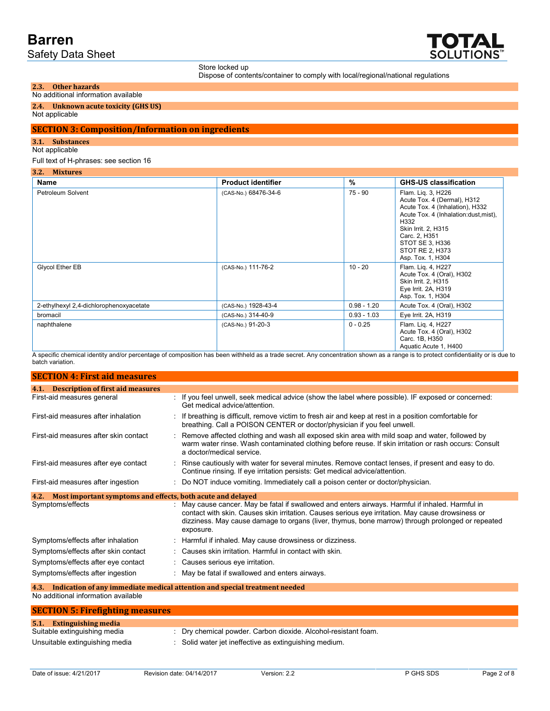

Store locked up

Dispose of contents/container to comply with local/regional/national regulations

#### **2.3. Other hazards** No additional information available

# **2.4. Unknown acute toxicity (GHS US)**

Not applicable

# **SECTION 3: Composition/Information on ingredients**

### **3.1. Substances**

#### Not applicable

#### Full text of H-phrases: see section 16

| 3.2. Mixtures<br>Name                   | <b>Product identifier</b> | $\%$          | <b>GHS-US classification</b>                                                                                                                                                                                                             |
|-----------------------------------------|---------------------------|---------------|------------------------------------------------------------------------------------------------------------------------------------------------------------------------------------------------------------------------------------------|
| Petroleum Solvent                       | (CAS-No.) 68476-34-6      | 75 - 90       | Flam. Lig. 3, H226<br>Acute Tox. 4 (Dermal), H312<br>Acute Tox. 4 (Inhalation), H332<br>Acute Tox. 4 (Inhalation:dust, mist),<br>H332<br>Skin Irrit. 2, H315<br>Carc. 2, H351<br>STOT SE 3, H336<br>STOT RE 2, H373<br>Asp. Tox. 1, H304 |
| Glycol Ether EB                         | (CAS-No.) 111-76-2        | $10 - 20$     | Flam. Lig. 4, H227<br>Acute Tox. 4 (Oral), H302<br>Skin Irrit. 2, H315<br>Eye Irrit. 2A, H319<br>Asp. Tox. 1, H304                                                                                                                       |
| 2-ethylhexyl 2,4-dichlorophenoxyacetate | (CAS-No.) 1928-43-4       | $0.98 - 1.20$ | Acute Tox. 4 (Oral), H302                                                                                                                                                                                                                |
| bromacil                                | (CAS-No.) 314-40-9        | $0.93 - 1.03$ | Eye Irrit. 2A, H319                                                                                                                                                                                                                      |
| naphthalene<br>.                        | (CAS-No.) 91-20-3         | $0 - 0.25$    | Flam. Lig. 4, H227<br>Acute Tox. 4 (Oral), H302<br>Carc. 1B, H350<br>Aquatic Acute 1, H400                                                                                                                                               |

A specific chemical identity and/or percentage of composition has been withheld as a trade secret. Any concentration shown as a range is to protect confidentiality or is due to batch variation.

| <b>SECTION 4: First aid measures</b>                                            |                                                                                                                                                                                                                                                                                                                      |  |  |  |
|---------------------------------------------------------------------------------|----------------------------------------------------------------------------------------------------------------------------------------------------------------------------------------------------------------------------------------------------------------------------------------------------------------------|--|--|--|
| 4.1. Description of first aid measures                                          |                                                                                                                                                                                                                                                                                                                      |  |  |  |
| First-aid measures general                                                      | If you feel unwell, seek medical advice (show the label where possible). IF exposed or concerned:<br>Get medical advice/attention.                                                                                                                                                                                   |  |  |  |
| First-aid measures after inhalation                                             | If breathing is difficult, remove victim to fresh air and keep at rest in a position comfortable for<br>breathing. Call a POISON CENTER or doctor/physician if you feel unwell.                                                                                                                                      |  |  |  |
| First-aid measures after skin contact                                           | Remove affected clothing and wash all exposed skin area with mild soap and water, followed by<br>warm water rinse. Wash contaminated clothing before reuse. If skin irritation or rash occurs: Consult<br>a doctor/medical service.                                                                                  |  |  |  |
| First-aid measures after eye contact                                            | Rinse cautiously with water for several minutes. Remove contact lenses, if present and easy to do.<br>Continue rinsing. If eye irritation persists: Get medical advice/attention.                                                                                                                                    |  |  |  |
| First-aid measures after ingestion                                              | Do NOT induce vomiting. Immediately call a poison center or doctor/physician.                                                                                                                                                                                                                                        |  |  |  |
| Most important symptoms and effects, both acute and delayed<br>4.2.             |                                                                                                                                                                                                                                                                                                                      |  |  |  |
| Symptoms/effects                                                                | May cause cancer. May be fatal if swallowed and enters airways. Harmful if inhaled. Harmful in<br>contact with skin. Causes skin irritation. Causes serious eye irritation. May cause drowsiness or<br>dizziness. May cause damage to organs (liver, thymus, bone marrow) through prolonged or repeated<br>exposure. |  |  |  |
| Symptoms/effects after inhalation                                               | Harmful if inhaled. May cause drowsiness or dizziness.                                                                                                                                                                                                                                                               |  |  |  |
| Symptoms/effects after skin contact                                             | Causes skin irritation. Harmful in contact with skin.                                                                                                                                                                                                                                                                |  |  |  |
| Symptoms/effects after eye contact                                              | Causes serious eye irritation.                                                                                                                                                                                                                                                                                       |  |  |  |
| Symptoms/effects after ingestion                                                | May be fatal if swallowed and enters airways.                                                                                                                                                                                                                                                                        |  |  |  |
| 4.3. Indication of any immediate medical attention and special treatment needed |                                                                                                                                                                                                                                                                                                                      |  |  |  |

No additional information available

| <b>SECTION 5: Firefighting measures</b> |                                                                |
|-----------------------------------------|----------------------------------------------------------------|
| <b>5.1.</b> Extinguishing media         |                                                                |
| Suitable extinguishing media            | : Dry chemical powder. Carbon dioxide. Alcohol-resistant foam. |
| Unsuitable extinguishing media          | : Solid water jet ineffective as extinguishing medium.         |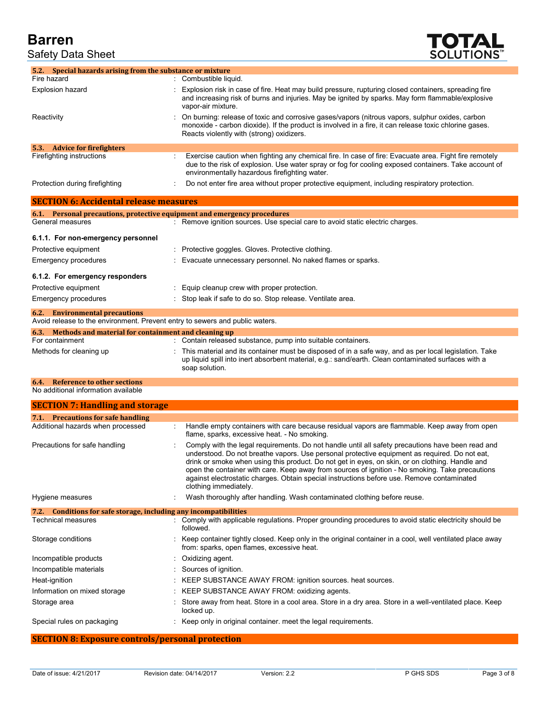Safety Data Sheet



| 5.2. Special hazards arising from the substance or mixture                   |                                                                                                                                                                                                                                                                                                                                                                                                                                                                                                                                 |
|------------------------------------------------------------------------------|---------------------------------------------------------------------------------------------------------------------------------------------------------------------------------------------------------------------------------------------------------------------------------------------------------------------------------------------------------------------------------------------------------------------------------------------------------------------------------------------------------------------------------|
| Fire hazard                                                                  | : Combustible liquid.                                                                                                                                                                                                                                                                                                                                                                                                                                                                                                           |
| <b>Explosion hazard</b>                                                      | Explosion risk in case of fire. Heat may build pressure, rupturing closed containers, spreading fire<br>and increasing risk of burns and injuries. May be ignited by sparks. May form flammable/explosive<br>vapor-air mixture.                                                                                                                                                                                                                                                                                                 |
| Reactivity                                                                   | On burning: release of toxic and corrosive gases/vapors (nitrous vapors, sulphur oxides, carbon<br>monoxide - carbon dioxide). If the product is involved in a fire, it can release toxic chlorine gases.<br>Reacts violently with (strong) oxidizers.                                                                                                                                                                                                                                                                          |
| 5.3. Advice for firefighters                                                 |                                                                                                                                                                                                                                                                                                                                                                                                                                                                                                                                 |
| Firefighting instructions                                                    | Exercise caution when fighting any chemical fire. In case of fire: Evacuate area. Fight fire remotely<br>due to the risk of explosion. Use water spray or fog for cooling exposed containers. Take account of<br>environmentally hazardous firefighting water.                                                                                                                                                                                                                                                                  |
| Protection during firefighting                                               | Do not enter fire area without proper protective equipment, including respiratory protection.                                                                                                                                                                                                                                                                                                                                                                                                                                   |
| <b>SECTION 6: Accidental release measures</b>                                |                                                                                                                                                                                                                                                                                                                                                                                                                                                                                                                                 |
| General measures                                                             | 6.1. Personal precautions, protective equipment and emergency procedures<br>: Remove ignition sources. Use special care to avoid static electric charges.                                                                                                                                                                                                                                                                                                                                                                       |
| 6.1.1. For non-emergency personnel                                           |                                                                                                                                                                                                                                                                                                                                                                                                                                                                                                                                 |
| Protective equipment                                                         | Protective goggles. Gloves. Protective clothing.                                                                                                                                                                                                                                                                                                                                                                                                                                                                                |
|                                                                              |                                                                                                                                                                                                                                                                                                                                                                                                                                                                                                                                 |
| Emergency procedures                                                         | Evacuate unnecessary personnel. No naked flames or sparks.                                                                                                                                                                                                                                                                                                                                                                                                                                                                      |
| 6.1.2. For emergency responders                                              |                                                                                                                                                                                                                                                                                                                                                                                                                                                                                                                                 |
| Protective equipment                                                         | Equip cleanup crew with proper protection.                                                                                                                                                                                                                                                                                                                                                                                                                                                                                      |
| Emergency procedures                                                         | Stop leak if safe to do so. Stop release. Ventilate area.                                                                                                                                                                                                                                                                                                                                                                                                                                                                       |
| <b>6.2.</b> Environmental precautions                                        |                                                                                                                                                                                                                                                                                                                                                                                                                                                                                                                                 |
| Avoid release to the environment. Prevent entry to sewers and public waters. |                                                                                                                                                                                                                                                                                                                                                                                                                                                                                                                                 |
| 6.3. Methods and material for containment and cleaning up                    |                                                                                                                                                                                                                                                                                                                                                                                                                                                                                                                                 |
| For containment                                                              | : Contain released substance, pump into suitable containers.                                                                                                                                                                                                                                                                                                                                                                                                                                                                    |
| Methods for cleaning up                                                      | This material and its container must be disposed of in a safe way, and as per local legislation. Take<br>up liquid spill into inert absorbent material, e.g.: sand/earth. Clean contaminated surfaces with a<br>soap solution.                                                                                                                                                                                                                                                                                                  |
| <b>Reference to other sections</b><br>6.4.                                   |                                                                                                                                                                                                                                                                                                                                                                                                                                                                                                                                 |
| No additional information available                                          |                                                                                                                                                                                                                                                                                                                                                                                                                                                                                                                                 |
| <b>SECTION 7: Handling and storage</b>                                       |                                                                                                                                                                                                                                                                                                                                                                                                                                                                                                                                 |
| 7.1. Precautions for safe handling                                           |                                                                                                                                                                                                                                                                                                                                                                                                                                                                                                                                 |
| Additional hazards when processed                                            | Handle empty containers with care because residual vapors are flammable. Keep away from open<br>flame, sparks, excessive heat. - No smoking.                                                                                                                                                                                                                                                                                                                                                                                    |
| Precautions for safe handling                                                | Comply with the legal requirements. Do not handle until all safety precautions have been read and<br>understood. Do not breathe vapors. Use personal protective equipment as required. Do not eat,<br>drink or smoke when using this product. Do not get in eyes, on skin, or on clothing. Handle and<br>open the container with care. Keep away from sources of ignition - No smoking. Take precautions<br>against electrostatic charges. Obtain special instructions before use. Remove contaminated<br>clothing immediately. |
| Hygiene measures                                                             | Wash thoroughly after handling. Wash contaminated clothing before reuse.                                                                                                                                                                                                                                                                                                                                                                                                                                                        |
| 7.2. Conditions for safe storage, including any incompatibilities            |                                                                                                                                                                                                                                                                                                                                                                                                                                                                                                                                 |
| <b>Technical measures</b>                                                    | Comply with applicable regulations. Proper grounding procedures to avoid static electricity should be<br>followed.                                                                                                                                                                                                                                                                                                                                                                                                              |
| Storage conditions                                                           | Keep container tightly closed. Keep only in the original container in a cool, well ventilated place away<br>from: sparks, open flames, excessive heat.                                                                                                                                                                                                                                                                                                                                                                          |
| Incompatible products                                                        | Oxidizing agent.                                                                                                                                                                                                                                                                                                                                                                                                                                                                                                                |
| Incompatible materials                                                       | Sources of ignition.                                                                                                                                                                                                                                                                                                                                                                                                                                                                                                            |
| Heat-ignition                                                                | KEEP SUBSTANCE AWAY FROM: ignition sources. heat sources.                                                                                                                                                                                                                                                                                                                                                                                                                                                                       |
| Information on mixed storage                                                 | KEEP SUBSTANCE AWAY FROM: oxidizing agents.                                                                                                                                                                                                                                                                                                                                                                                                                                                                                     |
| Storage area                                                                 | Store away from heat. Store in a cool area. Store in a dry area. Store in a well-ventilated place. Keep                                                                                                                                                                                                                                                                                                                                                                                                                         |
|                                                                              | locked up.                                                                                                                                                                                                                                                                                                                                                                                                                                                                                                                      |
| Special rules on packaging                                                   | Keep only in original container. meet the legal requirements.                                                                                                                                                                                                                                                                                                                                                                                                                                                                   |

# **SECTION 8: Exposure controls/personal protection**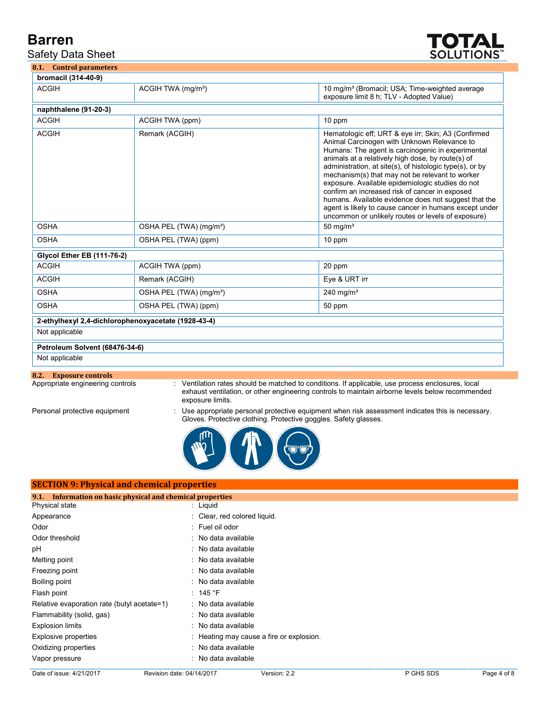Safety Data Sheet



**8.1. Control parameters**

| bromacil (314-40-9)               |                                                     |                                                                                                                                                                                                                                                                                                                                                                                                                                                                                                                                                                                                           |
|-----------------------------------|-----------------------------------------------------|-----------------------------------------------------------------------------------------------------------------------------------------------------------------------------------------------------------------------------------------------------------------------------------------------------------------------------------------------------------------------------------------------------------------------------------------------------------------------------------------------------------------------------------------------------------------------------------------------------------|
| <b>ACGIH</b>                      | ACGIH TWA (mg/m <sup>3</sup> )                      | 10 mg/m <sup>3</sup> (Bromacil; USA; Time-weighted average<br>exposure limit 8 h; TLV - Adopted Value)                                                                                                                                                                                                                                                                                                                                                                                                                                                                                                    |
| naphthalene (91-20-3)             |                                                     |                                                                                                                                                                                                                                                                                                                                                                                                                                                                                                                                                                                                           |
| <b>ACGIH</b>                      | ACGIH TWA (ppm)                                     | 10 ppm                                                                                                                                                                                                                                                                                                                                                                                                                                                                                                                                                                                                    |
| <b>ACGIH</b>                      | Remark (ACGIH)                                      | Hematologic eff; URT & eye irr; Skin; A3 (Confirmed<br>Animal Carcinogen with Unknown Relevance to<br>Humans: The agent is carcinogenic in experimental<br>animals at a relatively high dose, by route(s) of<br>administration, at site(s), of histologic type(s), or by<br>mechanism(s) that may not be relevant to worker<br>exposure. Available epidemiologic studies do not<br>confirm an increased risk of cancer in exposed<br>humans. Available evidence does not suggest that the<br>agent is likely to cause cancer in humans except under<br>uncommon or unlikely routes or levels of exposure) |
| <b>OSHA</b>                       | OSHA PEL (TWA) (mg/m <sup>3</sup> )                 | $50 \text{ mg/m}^3$                                                                                                                                                                                                                                                                                                                                                                                                                                                                                                                                                                                       |
| <b>OSHA</b>                       | OSHA PEL (TWA) (ppm)                                | 10 ppm                                                                                                                                                                                                                                                                                                                                                                                                                                                                                                                                                                                                    |
| <b>Glycol Ether EB (111-76-2)</b> |                                                     |                                                                                                                                                                                                                                                                                                                                                                                                                                                                                                                                                                                                           |
| <b>ACGIH</b>                      | ACGIH TWA (ppm)                                     | 20 ppm                                                                                                                                                                                                                                                                                                                                                                                                                                                                                                                                                                                                    |
| <b>ACGIH</b>                      | Remark (ACGIH)                                      | Eye & URT irr                                                                                                                                                                                                                                                                                                                                                                                                                                                                                                                                                                                             |
| <b>OSHA</b>                       | OSHA PEL (TWA) (mg/m <sup>3</sup> )                 | $240$ mg/m <sup>3</sup>                                                                                                                                                                                                                                                                                                                                                                                                                                                                                                                                                                                   |
| <b>OSHA</b>                       | OSHA PEL (TWA) (ppm)                                | 50 ppm                                                                                                                                                                                                                                                                                                                                                                                                                                                                                                                                                                                                    |
|                                   | 2-ethylhexyl 2,4-dichlorophenoxyacetate (1928-43-4) |                                                                                                                                                                                                                                                                                                                                                                                                                                                                                                                                                                                                           |
| Not applicable                    |                                                     |                                                                                                                                                                                                                                                                                                                                                                                                                                                                                                                                                                                                           |
| Petroleum Solvent (68476-34-6)    |                                                     |                                                                                                                                                                                                                                                                                                                                                                                                                                                                                                                                                                                                           |
| Not applicable                    |                                                     |                                                                                                                                                                                                                                                                                                                                                                                                                                                                                                                                                                                                           |

Appropriate engineering controls : Ventilation rates should be matched to conditions. If applicable, use process enclosures, local exhaust ventilation, or other engineering controls to maintain airborne levels below recommended exposure limits.

Personal protective equipment : Use appropriate personal protective equipment when risk assessment indicates this is necessary. Gloves. Protective clothing. Protective goggles. Safety glasses.



| <b>SECTION 9: Physical and chemical properties</b>            |  |                                          |  |
|---------------------------------------------------------------|--|------------------------------------------|--|
| Information on basic physical and chemical properties<br>9.1. |  |                                          |  |
| <b>Physical state</b>                                         |  | $:$ Liquid                               |  |
| Appearance                                                    |  | : Clear, red colored liquid.             |  |
| Odor                                                          |  | : Fuel oil odor                          |  |
| Odor threshold                                                |  | : No data available                      |  |
| pH                                                            |  | : No data available                      |  |
| Melting point                                                 |  | : No data available                      |  |
| Freezing point                                                |  | : No data available                      |  |
| Boiling point                                                 |  | : No data available                      |  |
| Flash point                                                   |  | : 145 $\degree$ F                        |  |
| Relative evaporation rate (butyl acetate=1)                   |  | : No data available                      |  |
| Flammability (solid, gas)                                     |  | : No data available                      |  |
| Explosion limits                                              |  | : No data available                      |  |
| Explosive properties                                          |  | : Heating may cause a fire or explosion. |  |
| Oxidizing properties                                          |  | : No data available                      |  |
| Vapor pressure                                                |  | : No data available                      |  |
|                                                               |  |                                          |  |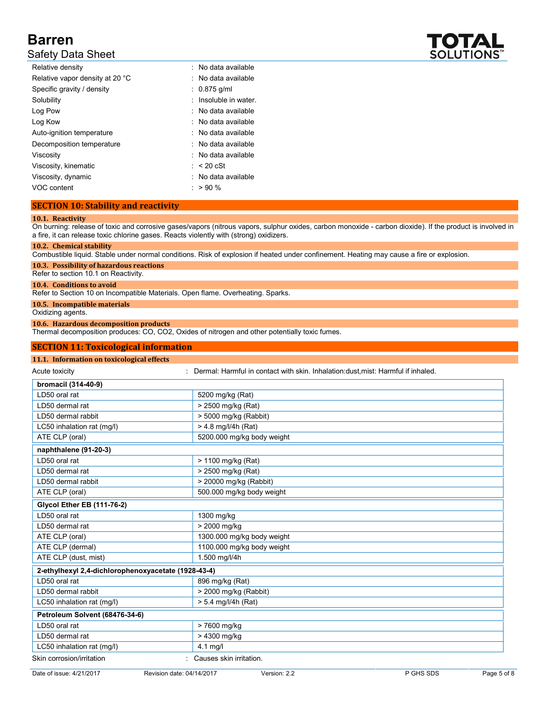# Safety Data Sheet

| Relative density                | : No data available   |
|---------------------------------|-----------------------|
| Relative vapor density at 20 °C | : No data available   |
| Specific gravity / density      | $: 0.875$ q/ml        |
| Solubility                      | : Insoluble in water. |
| Log Pow                         | : No data available   |
| Log Kow                         | : No data available   |
| Auto-ignition temperature       | : No data available   |
| Decomposition temperature       | : No data available   |
| Viscosity                       | : No data available   |
| Viscosity, kinematic            | $:$ < 20 cSt          |
| Viscosity, dynamic              | : No data available   |
| VOC content                     | $: > 90 \%$           |

# **SECTION 10: Stability and reactivity**

### **10.1. Reactivity**

On burning: release of toxic and corrosive gases/vapors (nitrous vapors, sulphur oxides, carbon monoxide - carbon dioxide). If the product is involved in a fire, it can release toxic chlorine gases. Reacts violently with (strong) oxidizers.

#### **10.2. Chemical stability**

Combustible liquid. Stable under normal conditions. Risk of explosion if heated under confinement. Heating may cause a fire or explosion.

**10.3. Possibility of hazardous reactions** Refer to section 10.1 on Reactivity.

### **10.4. Conditions to avoid**

Refer to Section 10 on Incompatible Materials. Open flame. Overheating. Sparks.

**10.5. Incompatible materials**

Oxidizing agents.

### **10.6. Hazardous decomposition products**

Thermal decomposition produces: CO, CO2, Oxides of nitrogen and other potentially toxic fumes.

### **SECTION 11: Toxicological information**

| 11.1. Information on toxicological effects          |                                                                                     |
|-----------------------------------------------------|-------------------------------------------------------------------------------------|
| Acute toxicity                                      | : Dermal: Harmful in contact with skin. Inhalation: dust, mist: Harmful if inhaled. |
| bromacil (314-40-9)                                 |                                                                                     |
| LD50 oral rat                                       | 5200 mg/kg (Rat)                                                                    |
| LD50 dermal rat                                     | > 2500 mg/kg (Rat)                                                                  |
| LD50 dermal rabbit                                  | > 5000 mg/kg (Rabbit)                                                               |
| LC50 inhalation rat (mg/l)                          | $> 4.8$ mg/l/4h (Rat)                                                               |
| ATE CLP (oral)                                      | 5200.000 mg/kg body weight                                                          |
| naphthalene (91-20-3)                               |                                                                                     |
| LD50 oral rat                                       | > 1100 mg/kg (Rat)                                                                  |
| LD50 dermal rat                                     | > 2500 mg/kg (Rat)                                                                  |
| LD50 dermal rabbit                                  | > 20000 mg/kg (Rabbit)                                                              |
| ATE CLP (oral)                                      | 500.000 mg/kg body weight                                                           |
| <b>Glycol Ether EB (111-76-2)</b>                   |                                                                                     |
| LD50 oral rat                                       | 1300 mg/kg                                                                          |
| LD50 dermal rat                                     | > 2000 mg/kg                                                                        |
| ATE CLP (oral)                                      | 1300.000 mg/kg body weight                                                          |
| ATE CLP (dermal)                                    | 1100.000 mg/kg body weight                                                          |
| ATE CLP (dust, mist)                                | 1.500 mg/l/4h                                                                       |
| 2-ethylhexyl 2,4-dichlorophenoxyacetate (1928-43-4) |                                                                                     |
| LD50 oral rat                                       | 896 mg/kg (Rat)                                                                     |
| LD50 dermal rabbit                                  | > 2000 mg/kg (Rabbit)                                                               |
| LC50 inhalation rat (mg/l)                          | $> 5.4$ mg/l/4h (Rat)                                                               |
| Petroleum Solvent (68476-34-6)                      |                                                                                     |
| LD50 oral rat                                       | > 7600 mg/kg                                                                        |
| LD50 dermal rat                                     | > 4300 mg/kg                                                                        |
| LC50 inhalation rat (mg/l)                          | $4.1$ mg/l                                                                          |
| Skin corrosion/irritation                           | : Causes skin irritation.                                                           |

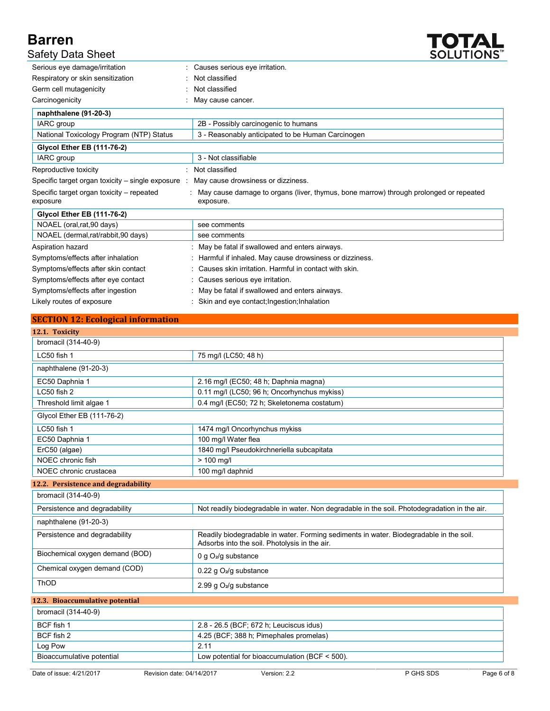

| <b>Safety Data Sheet</b>                              | <b>SOLUTIONS</b>                                                                                   |
|-------------------------------------------------------|----------------------------------------------------------------------------------------------------|
| Serious eye damage/irritation                         | : Causes serious eye irritation.                                                                   |
| Respiratory or skin sensitization                     | Not classified                                                                                     |
| Germ cell mutagenicity                                | Not classified                                                                                     |
| Carcinogenicity                                       | May cause cancer.                                                                                  |
| naphthalene (91-20-3)                                 |                                                                                                    |
| IARC group                                            | 2B - Possibly carcinogenic to humans                                                               |
| National Toxicology Program (NTP) Status              | 3 - Reasonably anticipated to be Human Carcinogen                                                  |
| <b>Glycol Ether EB (111-76-2)</b>                     |                                                                                                    |
| IARC group                                            | 3 - Not classifiable                                                                               |
| Reproductive toxicity                                 | : Not classified                                                                                   |
| Specific target organ toxicity $-$ single exposure :  | May cause drowsiness or dizziness.                                                                 |
| Specific target organ toxicity – repeated<br>exposure | May cause damage to organs (liver, thymus, bone marrow) through prolonged or repeated<br>exposure. |
| <b>Glycol Ether EB (111-76-2)</b>                     |                                                                                                    |
| NOAEL (oral, rat, 90 days)                            | see comments                                                                                       |
| NOAEL (dermal,rat/rabbit,90 days)                     | see comments                                                                                       |
| Aspiration hazard                                     | May be fatal if swallowed and enters airways.                                                      |
| Symptoms/effects after inhalation                     | Harmful if inhaled. May cause drowsiness or dizziness.                                             |
| Symptoms/effects after skin contact                   | Causes skin irritation. Harmful in contact with skin.                                              |
| Symptoms/effects after eye contact                    | Causes serious eye irritation.                                                                     |
| Symptoms/effects after ingestion                      | May be fatal if swallowed and enters airways.                                                      |
| Likely routes of exposure                             | Skin and eye contact; Ingestion; Inhalation                                                        |

# **SECTION 12: Ecological information**

| 12.1. Toxicity                      |                                                  |                                                                                              |             |
|-------------------------------------|--------------------------------------------------|----------------------------------------------------------------------------------------------|-------------|
| bromacil (314-40-9)                 |                                                  |                                                                                              |             |
| LC50 fish 1                         | 75 mg/l (LC50; 48 h)                             |                                                                                              |             |
| naphthalene (91-20-3)               |                                                  |                                                                                              |             |
| EC50 Daphnia 1                      | 2.16 mg/l (EC50; 48 h; Daphnia magna)            |                                                                                              |             |
| LC50 fish 2                         | 0.11 mg/l (LC50; 96 h; Oncorhynchus mykiss)      |                                                                                              |             |
| Threshold limit algae 1             | 0.4 mg/l (EC50; 72 h; Skeletonema costatum)      |                                                                                              |             |
| Glycol Ether EB (111-76-2)          |                                                  |                                                                                              |             |
| LC50 fish 1                         | 1474 mg/l Oncorhynchus mykiss                    |                                                                                              |             |
| EC50 Daphnia 1                      | 100 mg/l Water flea                              |                                                                                              |             |
| ErC50 (algae)                       | 1840 mg/l Pseudokirchneriella subcapitata        |                                                                                              |             |
| NOEC chronic fish                   | $> 100$ mg/l                                     |                                                                                              |             |
| NOEC chronic crustacea              | 100 mg/l daphnid                                 |                                                                                              |             |
| 12.2. Persistence and degradability |                                                  |                                                                                              |             |
| bromacil (314-40-9)                 |                                                  |                                                                                              |             |
| Persistence and degradability       |                                                  | Not readily biodegradable in water. Non degradable in the soil. Photodegradation in the air. |             |
| naphthalene (91-20-3)               |                                                  |                                                                                              |             |
| Persistence and degradability       | Adsorbs into the soil. Photolysis in the air.    | Readily biodegradable in water. Forming sediments in water. Biodegradable in the soil.       |             |
| Biochemical oxygen demand (BOD)     | 0 g $O2/g$ substance                             |                                                                                              |             |
| Chemical oxygen demand (COD)        | 0.22 g O <sub>2</sub> /g substance               |                                                                                              |             |
| ThOD                                | 2.99 g $O_2$ /g substance                        |                                                                                              |             |
| 12.3. Bioaccumulative potential     |                                                  |                                                                                              |             |
| bromacil (314-40-9)                 |                                                  |                                                                                              |             |
| BCF fish 1                          | 2.8 - 26.5 (BCF; 672 h; Leuciscus idus)          |                                                                                              |             |
| BCF fish 2                          | 4.25 (BCF; 388 h; Pimephales promelas)           |                                                                                              |             |
| Log Pow                             | 2.11                                             |                                                                                              |             |
| Bioaccumulative potential           | Low potential for bioaccumulation (BCF $<$ 500). |                                                                                              |             |
| Date of issue: 4/21/2017            | Version: 2.2<br>Revision date: 04/14/2017        | P GHS SDS                                                                                    | Page 6 of 8 |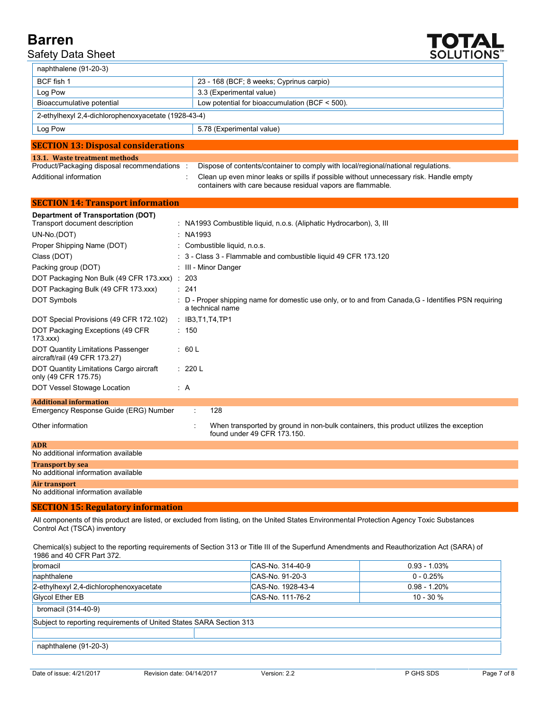# Safety Data Sheet



| naphthalene (91-20-3)                                                       |                                                                                                                                                       |
|-----------------------------------------------------------------------------|-------------------------------------------------------------------------------------------------------------------------------------------------------|
| BCF fish 1                                                                  | 23 - 168 (BCF; 8 weeks; Cyprinus carpio)                                                                                                              |
| Log Pow                                                                     | 3.3 (Experimental value)                                                                                                                              |
| Bioaccumulative potential                                                   | Low potential for bioaccumulation (BCF < 500).                                                                                                        |
| 2-ethylhexyl 2,4-dichlorophenoxyacetate (1928-43-4)                         |                                                                                                                                                       |
| Log Pow                                                                     | 5.78 (Experimental value)                                                                                                                             |
| <b>SECTION 13: Disposal considerations</b>                                  |                                                                                                                                                       |
| 13.1. Waste treatment methods                                               |                                                                                                                                                       |
| Product/Packaging disposal recommendations :                                | Dispose of contents/container to comply with local/regional/national regulations.                                                                     |
| Additional information                                                      | Clean up even minor leaks or spills if possible without unnecessary risk. Handle empty<br>containers with care because residual vapors are flammable. |
| <b>SECTION 14: Transport information</b>                                    |                                                                                                                                                       |
| <b>Department of Transportation (DOT)</b><br>Transport document description | : NA1993 Combustible liquid, n.o.s. (Aliphatic Hydrocarbon), 3, Ill                                                                                   |
| UN-No.(DOT)                                                                 | : $NA1993$                                                                                                                                            |
| Proper Shipping Name (DOT)                                                  | : Combustible liquid, n.o.s.                                                                                                                          |
| Class (DOT)                                                                 | : 3 - Class 3 - Flammable and combustible liquid 49 CFR 173.120                                                                                       |
| Packing group (DOT)                                                         | : III - Minor Danger                                                                                                                                  |
| DOT Packaging Non Bulk (49 CFR 173.xxx) : 203                               |                                                                                                                                                       |
| DOT Packaging Bulk (49 CFR 173.xxx)                                         | : 241                                                                                                                                                 |
| <b>DOT Symbols</b>                                                          | D - Proper shipping name for domestic use only, or to and from Canada, G - Identifies PSN requiring<br>a technical name                               |

| Other information                   | When transported by ground in non-bulk containers, this product utilizes the exception<br>found under 49 CFR 173.150. |
|-------------------------------------|-----------------------------------------------------------------------------------------------------------------------|
| <b>ADR</b>                          |                                                                                                                       |
| No additional information available |                                                                                                                       |
| <b>Transport by sea</b>             |                                                                                                                       |
| No additional information available |                                                                                                                       |
| Air transport                       |                                                                                                                       |
| No additional information available |                                                                                                                       |

#### **SECTION 15: Regulatory information**

DOT Special Provisions (49 CFR 172.102) : IB3,T1,T4,TP1

: 150

: 60 L

: 220 L

DOT Packaging Exceptions (49 CFR

DOT Quantity Limitations Passenger aircraft/rail (49 CFR 173.27)

DOT Quantity Limitations Cargo aircraft

DOT Vessel Stowage Location : A

Emergency Response Guide (ERG) Number : 128

173.xxx)

only (49 CFR 175.75)

**Additional information**

All components of this product are listed, or excluded from listing, on the United States Environmental Protection Agency Toxic Substances Control Act (TSCA) inventory

Chemical(s) subject to the reporting requirements of Section 313 or Title III of the Superfund Amendments and Reauthorization Act (SARA) of 1986 and 40 CFR Part 372.

| bromacil                                                            | CAS-No. 314-40-9  | $0.93 - 1.03\%$ |  |
|---------------------------------------------------------------------|-------------------|-----------------|--|
| naphthalene                                                         | CAS-No. 91-20-3   | $0 - 0.25%$     |  |
| 2-ethylhexyl 2,4-dichlorophenoxyacetate                             | CAS-No. 1928-43-4 | $0.98 - 1.20%$  |  |
| Glycol Ether EB                                                     | CAS-No. 111-76-2  | $10 - 30 \%$    |  |
| bromacil (314-40-9)                                                 |                   |                 |  |
| Subject to reporting requirements of United States SARA Section 313 |                   |                 |  |
|                                                                     |                   |                 |  |
| naphthalene (91-20-3)                                               |                   |                 |  |